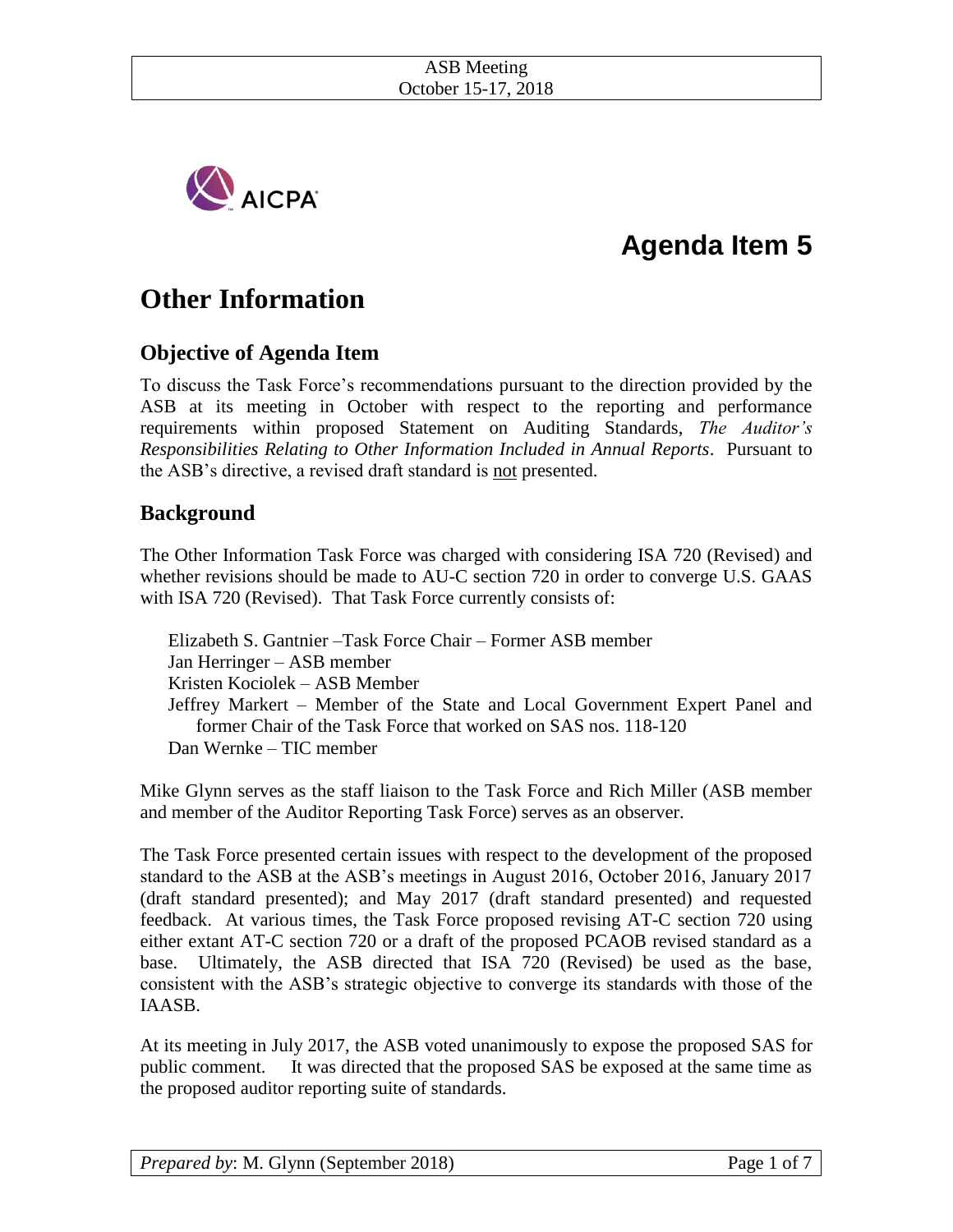

# **Agenda Item 5**

## **Other Information**

## **Objective of Agenda Item**

To discuss the Task Force's recommendations pursuant to the direction provided by the ASB at its meeting in October with respect to the reporting and performance requirements within proposed Statement on Auditing Standards, *The Auditor's Responsibilities Relating to Other Information Included in Annual Reports*. Pursuant to the ASB's directive, a revised draft standard is not presented.

## **Background**

The Other Information Task Force was charged with considering ISA 720 (Revised) and whether revisions should be made to AU-C section 720 in order to converge U.S. GAAS with ISA 720 (Revised). That Task Force currently consists of:

Elizabeth S. Gantnier –Task Force Chair – Former ASB member Jan Herringer – ASB member Kristen Kociolek – ASB Member Jeffrey Markert – Member of the State and Local Government Expert Panel and former Chair of the Task Force that worked on SAS nos. 118-120 Dan Wernke – TIC member

Mike Glynn serves as the staff liaison to the Task Force and Rich Miller (ASB member and member of the Auditor Reporting Task Force) serves as an observer.

The Task Force presented certain issues with respect to the development of the proposed standard to the ASB at the ASB's meetings in August 2016, October 2016, January 2017 (draft standard presented); and May 2017 (draft standard presented) and requested feedback. At various times, the Task Force proposed revising AT-C section 720 using either extant AT-C section 720 or a draft of the proposed PCAOB revised standard as a base. Ultimately, the ASB directed that ISA 720 (Revised) be used as the base, consistent with the ASB's strategic objective to converge its standards with those of the IAASB.

At its meeting in July 2017, the ASB voted unanimously to expose the proposed SAS for public comment. It was directed that the proposed SAS be exposed at the same time as the proposed auditor reporting suite of standards.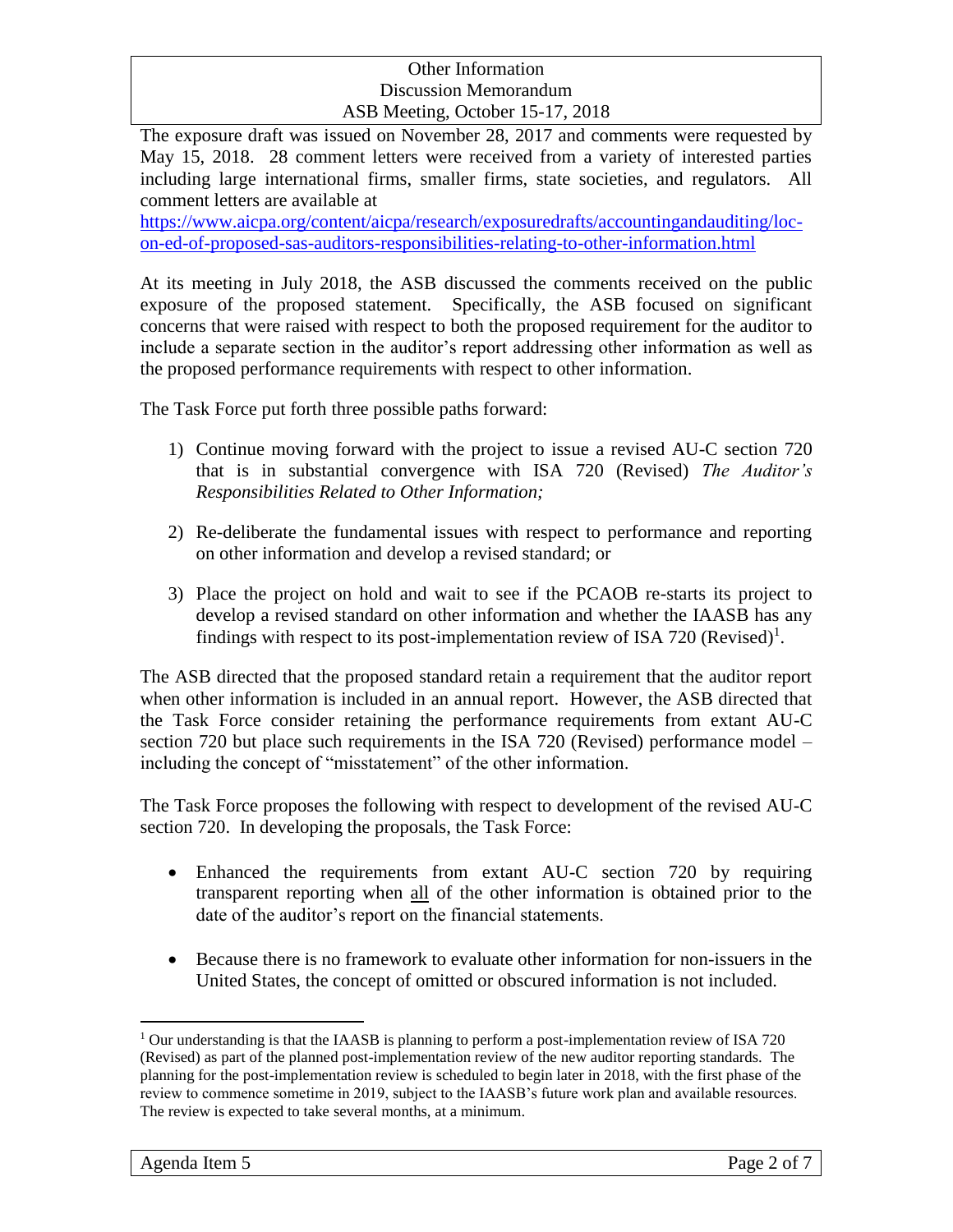The exposure draft was issued on November 28, 2017 and comments were requested by May 15, 2018. 28 comment letters were received from a variety of interested parties including large international firms, smaller firms, state societies, and regulators. All comment letters are available at

[https://www.aicpa.org/content/aicpa/research/exposuredrafts/accountingandauditing/loc](https://www.aicpa.org/content/aicpa/research/exposuredrafts/accountingandauditing/loc-on-ed-of-proposed-sas-auditors-responsibilities-relating-to-other-information.html)[on-ed-of-proposed-sas-auditors-responsibilities-relating-to-other-information.html](https://www.aicpa.org/content/aicpa/research/exposuredrafts/accountingandauditing/loc-on-ed-of-proposed-sas-auditors-responsibilities-relating-to-other-information.html)

At its meeting in July 2018, the ASB discussed the comments received on the public exposure of the proposed statement. Specifically, the ASB focused on significant concerns that were raised with respect to both the proposed requirement for the auditor to include a separate section in the auditor's report addressing other information as well as the proposed performance requirements with respect to other information.

The Task Force put forth three possible paths forward:

- 1) Continue moving forward with the project to issue a revised AU-C section 720 that is in substantial convergence with ISA 720 (Revised) *The Auditor's Responsibilities Related to Other Information;*
- 2) Re-deliberate the fundamental issues with respect to performance and reporting on other information and develop a revised standard; or
- 3) Place the project on hold and wait to see if the PCAOB re-starts its project to develop a revised standard on other information and whether the IAASB has any findings with respect to its post-implementation review of ISA 720 (Revised)<sup>1</sup>.

The ASB directed that the proposed standard retain a requirement that the auditor report when other information is included in an annual report. However, the ASB directed that the Task Force consider retaining the performance requirements from extant AU-C section 720 but place such requirements in the ISA 720 (Revised) performance model – including the concept of "misstatement" of the other information.

The Task Force proposes the following with respect to development of the revised AU-C section 720. In developing the proposals, the Task Force:

- Enhanced the requirements from extant AU-C section 720 by requiring transparent reporting when all of the other information is obtained prior to the date of the auditor's report on the financial statements.
- Because there is no framework to evaluate other information for non-issuers in the United States, the concept of omitted or obscured information is not included.

 $\overline{a}$ 

 $1$  Our understanding is that the IAASB is planning to perform a post-implementation review of ISA 720 (Revised) as part of the planned post-implementation review of the new auditor reporting standards. The planning for the post-implementation review is scheduled to begin later in 2018, with the first phase of the review to commence sometime in 2019, subject to the IAASB's future work plan and available resources. The review is expected to take several months, at a minimum.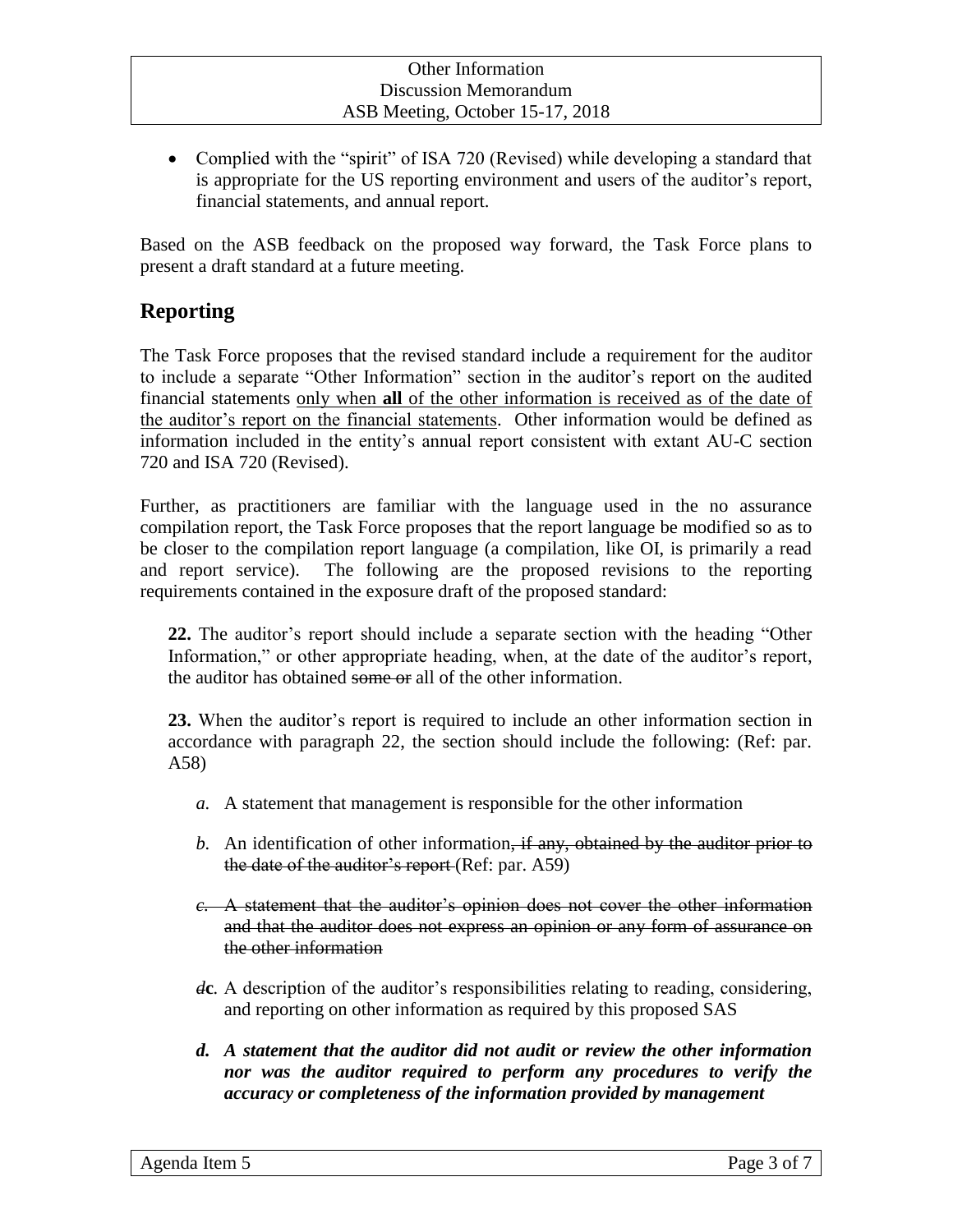• Complied with the "spirit" of ISA 720 (Revised) while developing a standard that is appropriate for the US reporting environment and users of the auditor's report, financial statements, and annual report.

Based on the ASB feedback on the proposed way forward, the Task Force plans to present a draft standard at a future meeting.

## **Reporting**

The Task Force proposes that the revised standard include a requirement for the auditor to include a separate "Other Information" section in the auditor's report on the audited financial statements only when **all** of the other information is received as of the date of the auditor's report on the financial statements. Other information would be defined as information included in the entity's annual report consistent with extant AU-C section 720 and ISA 720 (Revised).

Further, as practitioners are familiar with the language used in the no assurance compilation report, the Task Force proposes that the report language be modified so as to be closer to the compilation report language (a compilation, like OI, is primarily a read and report service). The following are the proposed revisions to the reporting requirements contained in the exposure draft of the proposed standard:

**22.** The auditor's report should include a separate section with the heading "Other Information," or other appropriate heading, when, at the date of the auditor's report, the auditor has obtained some or all of the other information.

**23.** When the auditor's report is required to include an other information section in accordance with paragraph 22, the section should include the following: (Ref: par. A58)

- *a.* A statement that management is responsible for the other information
- *b.* An identification of other information, if any, obtained by the auditor prior to the date of the auditor's report (Ref: par. A59)
- *c.* A statement that the auditor's opinion does not cover the other information and that the auditor does not express an opinion or any form of assurance on the other information
- *d***c***.* A description of the auditor's responsibilities relating to reading, considering, and reporting on other information as required by this proposed SAS
- *d. A statement that the auditor did not audit or review the other information nor was the auditor required to perform any procedures to verify the accuracy or completeness of the information provided by management*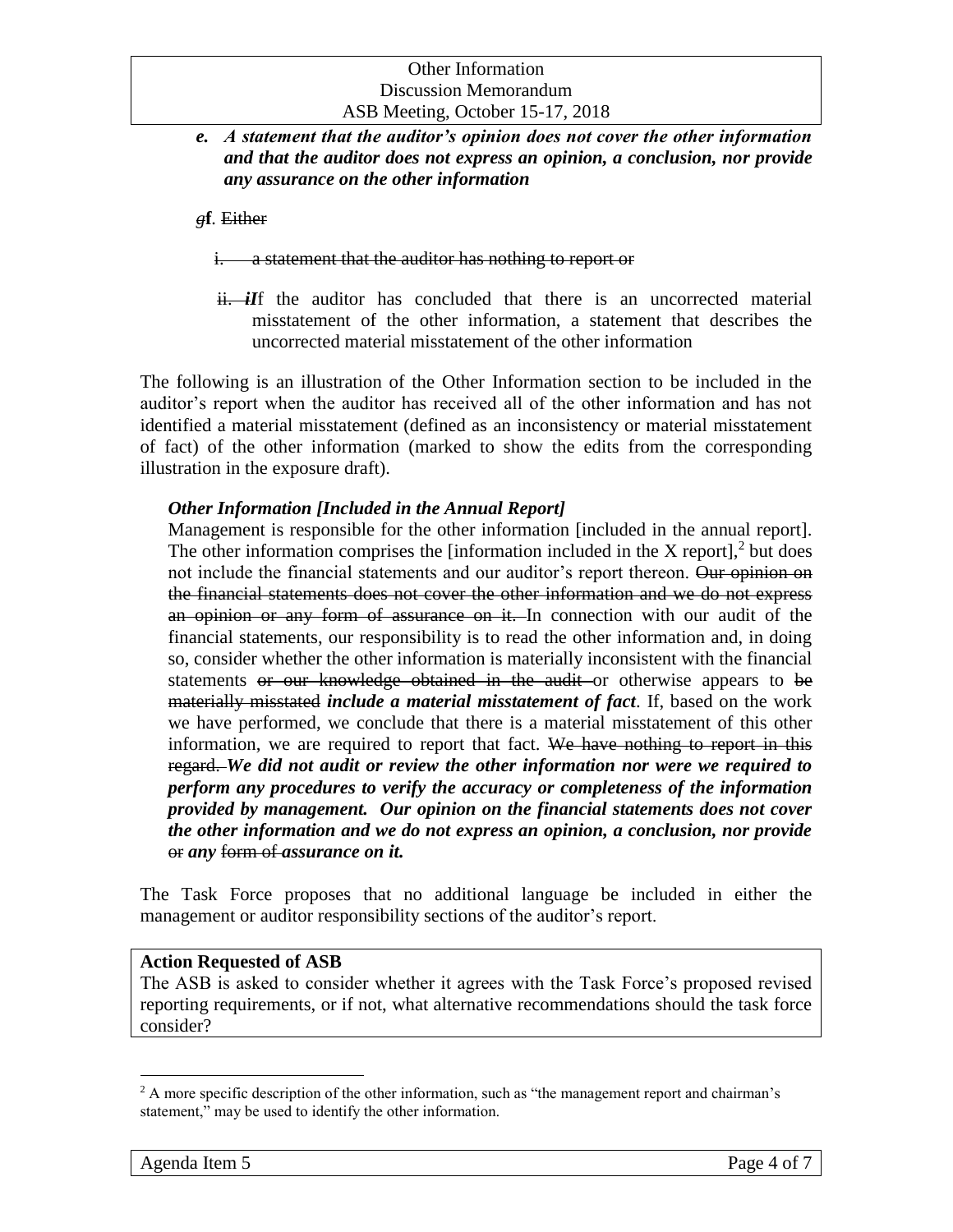*e. A statement that the auditor's opinion does not cover the other information and that the auditor does not express an opinion, a conclusion, nor provide any assurance on the other information*

*g***f***.* Either

i. a statement that the auditor has nothing to report or

ii. *iI*f the auditor has concluded that there is an uncorrected material misstatement of the other information, a statement that describes the uncorrected material misstatement of the other information

The following is an illustration of the Other Information section to be included in the auditor's report when the auditor has received all of the other information and has not identified a material misstatement (defined as an inconsistency or material misstatement of fact) of the other information (marked to show the edits from the corresponding illustration in the exposure draft).

#### *Other Information [Included in the Annual Report]*

Management is responsible for the other information [included in the annual report]. The other information comprises the [information included in the  $X$  report],<sup>2</sup> but does not include the financial statements and our auditor's report thereon. Our opinion on the financial statements does not cover the other information and we do not express an opinion or any form of assurance on it. In connection with our audit of the financial statements, our responsibility is to read the other information and, in doing so, consider whether the other information is materially inconsistent with the financial statements or our knowledge obtained in the audit or otherwise appears to be materially misstated *include a material misstatement of fact*. If, based on the work we have performed, we conclude that there is a material misstatement of this other information, we are required to report that fact. We have nothing to report in this regard. *We did not audit or review the other information nor were we required to perform any procedures to verify the accuracy or completeness of the information provided by management. Our opinion on the financial statements does not cover the other information and we do not express an opinion, a conclusion, nor provide* or *any* form of *assurance on it.*

The Task Force proposes that no additional language be included in either the management or auditor responsibility sections of the auditor's report.

#### **Action Requested of ASB**

The ASB is asked to consider whether it agrees with the Task Force's proposed revised reporting requirements, or if not, what alternative recommendations should the task force consider?

 $\overline{a}$ 

<sup>&</sup>lt;sup>2</sup> A more specific description of the other information, such as "the management report and chairman's statement," may be used to identify the other information.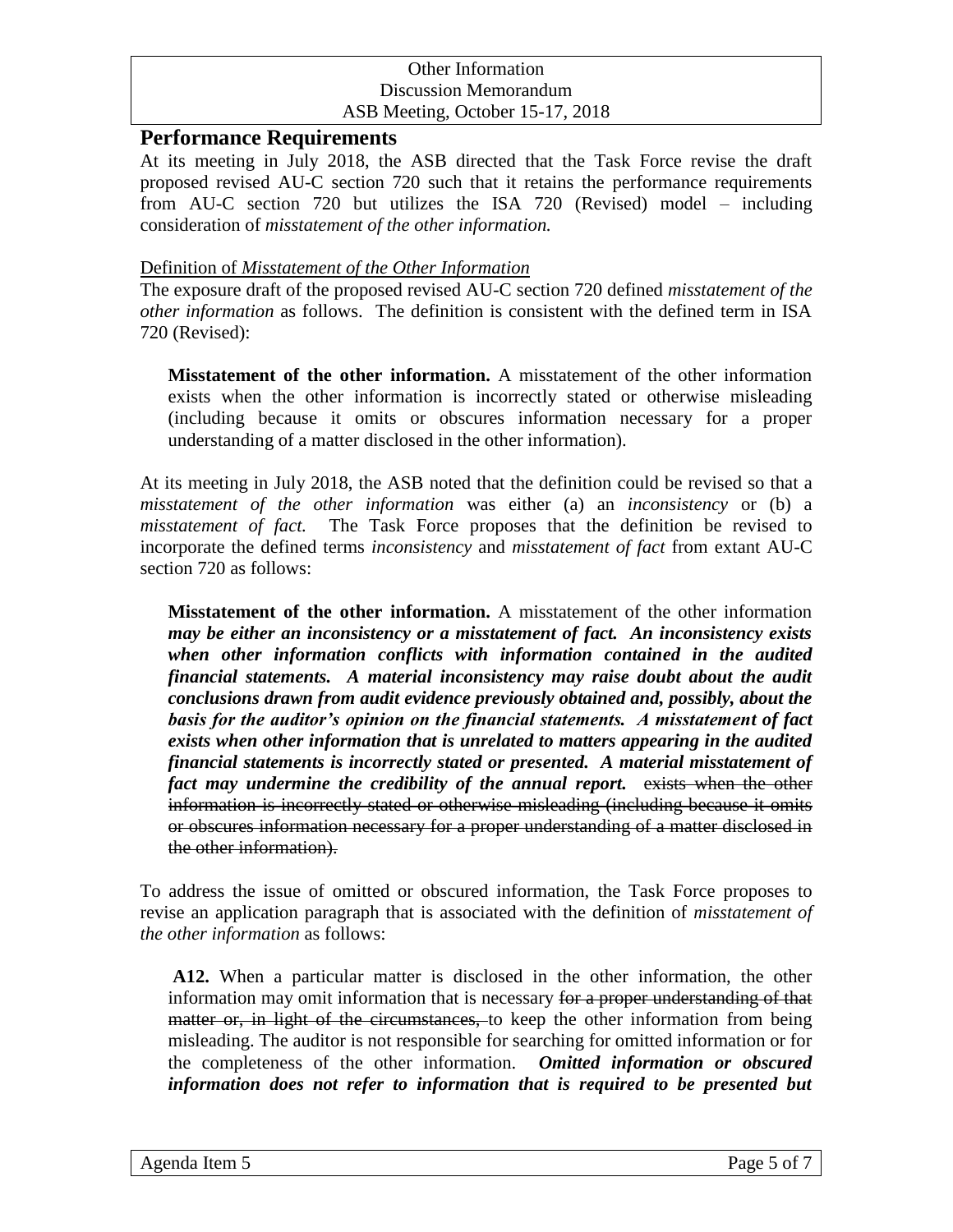#### **Performance Requirements**

At its meeting in July 2018, the ASB directed that the Task Force revise the draft proposed revised AU-C section 720 such that it retains the performance requirements from AU-C section 720 but utilizes the ISA 720 (Revised) model – including consideration of *misstatement of the other information.*

#### Definition of *Misstatement of the Other Information*

The exposure draft of the proposed revised AU-C section 720 defined *misstatement of the other information* as follows. The definition is consistent with the defined term in ISA 720 (Revised):

**Misstatement of the other information.** A misstatement of the other information exists when the other information is incorrectly stated or otherwise misleading (including because it omits or obscures information necessary for a proper understanding of a matter disclosed in the other information).

At its meeting in July 2018, the ASB noted that the definition could be revised so that a *misstatement of the other information* was either (a) an *inconsistency* or (b) a *misstatement of fact.* The Task Force proposes that the definition be revised to incorporate the defined terms *inconsistency* and *misstatement of fact* from extant AU-C section 720 as follows:

**Misstatement of the other information.** A misstatement of the other information *may be either an inconsistency or a misstatement of fact. An inconsistency exists*  when other information conflicts with information contained in the audited *financial statements. A material inconsistency may raise doubt about the audit conclusions drawn from audit evidence previously obtained and, possibly, about the basis for the auditor's opinion on the financial statements. A misstatement of fact exists when other information that is unrelated to matters appearing in the audited financial statements is incorrectly stated or presented. A material misstatement of fact may undermine the credibility of the annual report.* exists when the other information is incorrectly stated or otherwise misleading (including because it omits or obscures information necessary for a proper understanding of a matter disclosed in the other information).

To address the issue of omitted or obscured information, the Task Force proposes to revise an application paragraph that is associated with the definition of *misstatement of the other information* as follows:

**A12.** When a particular matter is disclosed in the other information, the other information may omit information that is necessary for a proper understanding of that matter or, in light of the circumstances, to keep the other information from being misleading. The auditor is not responsible for searching for omitted information or for the completeness of the other information. *Omitted information or obscured information does not refer to information that is required to be presented but*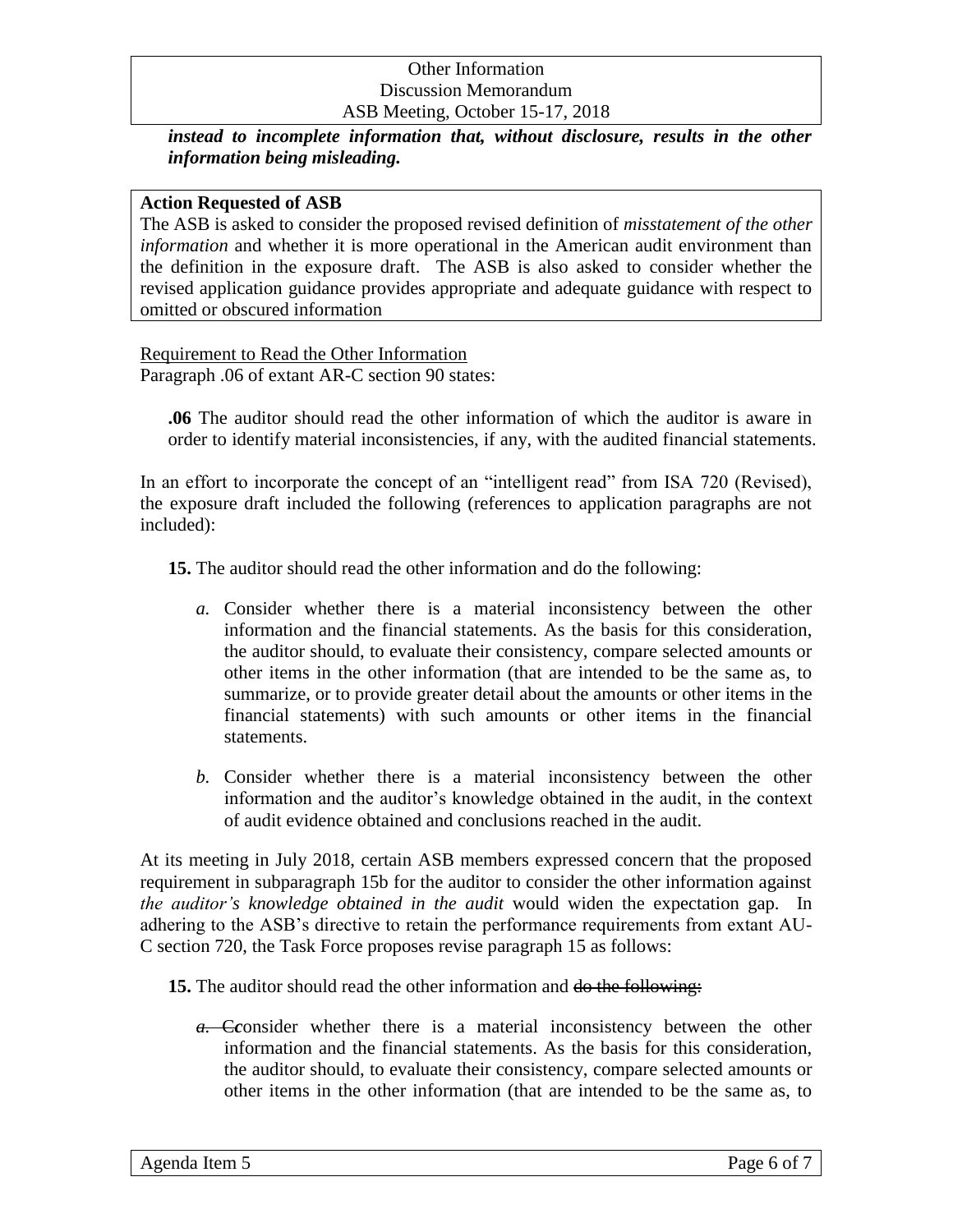*instead to incomplete information that, without disclosure, results in the other information being misleading.*

#### **Action Requested of ASB**

The ASB is asked to consider the proposed revised definition of *misstatement of the other information* and whether it is more operational in the American audit environment than the definition in the exposure draft. The ASB is also asked to consider whether the revised application guidance provides appropriate and adequate guidance with respect to omitted or obscured information

#### Requirement to Read the Other Information

Paragraph .06 of extant AR-C section 90 states:

**.06** The auditor should read the other information of which the auditor is aware in order to identify material inconsistencies, if any, with the audited financial statements.

In an effort to incorporate the concept of an "intelligent read" from ISA 720 (Revised), the exposure draft included the following (references to application paragraphs are not included):

**15.** The auditor should read the other information and do the following:

- *a.* Consider whether there is a material inconsistency between the other information and the financial statements. As the basis for this consideration, the auditor should, to evaluate their consistency, compare selected amounts or other items in the other information (that are intended to be the same as, to summarize, or to provide greater detail about the amounts or other items in the financial statements) with such amounts or other items in the financial statements.
- *b.* Consider whether there is a material inconsistency between the other information and the auditor's knowledge obtained in the audit, in the context of audit evidence obtained and conclusions reached in the audit.

At its meeting in July 2018, certain ASB members expressed concern that the proposed requirement in subparagraph 15b for the auditor to consider the other information against *the auditor's knowledge obtained in the audit* would widen the expectation gap. In adhering to the ASB's directive to retain the performance requirements from extant AU-C section 720, the Task Force proposes revise paragraph 15 as follows:

#### **15.** The auditor should read the other information and do the following:

*a.* C*c*onsider whether there is a material inconsistency between the other information and the financial statements. As the basis for this consideration, the auditor should, to evaluate their consistency, compare selected amounts or other items in the other information (that are intended to be the same as, to